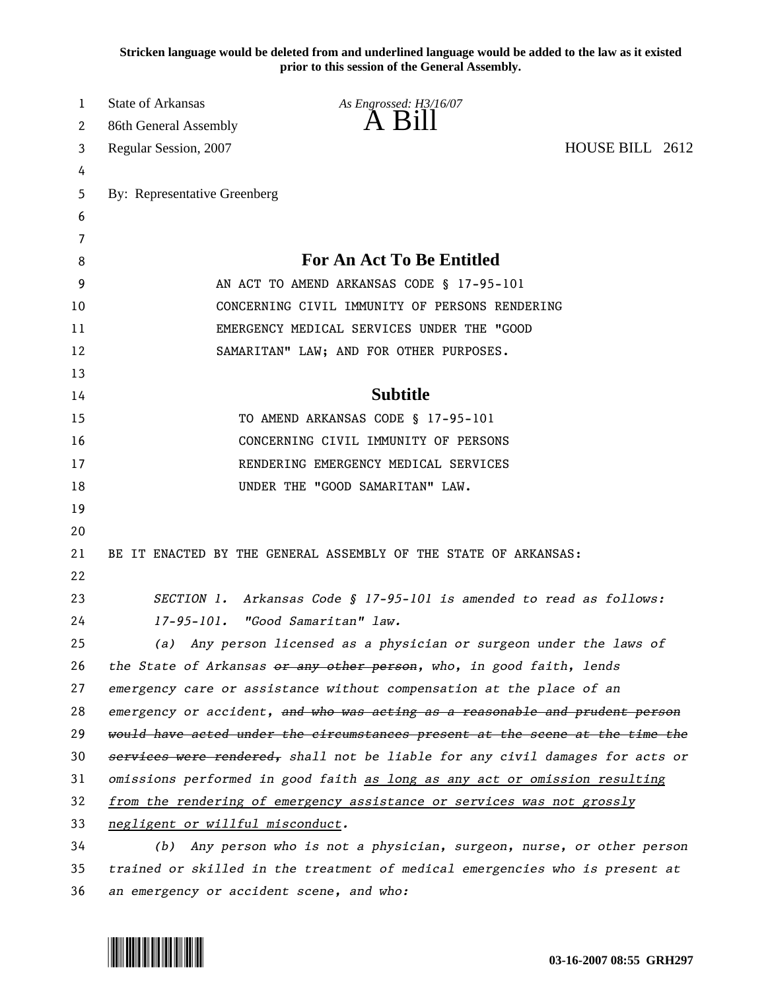**Stricken language would be deleted from and underlined language would be added to the law as it existed prior to this session of the General Assembly.**

| 1  | State of Arkansas                                                             | As Engrossed: H3/16/07                                                        |  |  |
|----|-------------------------------------------------------------------------------|-------------------------------------------------------------------------------|--|--|
| 2  | 86th General Assembly                                                         | $A$ B <sub>1</sub> $II$                                                       |  |  |
| 3  | HOUSE BILL 2612<br>Regular Session, 2007                                      |                                                                               |  |  |
| 4  |                                                                               |                                                                               |  |  |
| 5  | By: Representative Greenberg                                                  |                                                                               |  |  |
| 6  |                                                                               |                                                                               |  |  |
| 7  |                                                                               |                                                                               |  |  |
| 8  | <b>For An Act To Be Entitled</b>                                              |                                                                               |  |  |
| 9  | AN ACT TO AMEND ARKANSAS CODE § 17-95-101                                     |                                                                               |  |  |
| 10 | CONCERNING CIVIL IMMUNITY OF PERSONS RENDERING                                |                                                                               |  |  |
| 11 | EMERGENCY MEDICAL SERVICES UNDER THE "GOOD                                    |                                                                               |  |  |
| 12 | SAMARITAN" LAW; AND FOR OTHER PURPOSES.                                       |                                                                               |  |  |
| 13 |                                                                               |                                                                               |  |  |
| 14 | <b>Subtitle</b>                                                               |                                                                               |  |  |
| 15 | TO AMEND ARKANSAS CODE § 17-95-101                                            |                                                                               |  |  |
| 16 |                                                                               | CONCERNING CIVIL IMMUNITY OF PERSONS                                          |  |  |
| 17 |                                                                               | RENDERING EMERGENCY MEDICAL SERVICES                                          |  |  |
| 18 | UNDER THE "GOOD SAMARITAN" LAW.                                               |                                                                               |  |  |
| 19 |                                                                               |                                                                               |  |  |
| 20 |                                                                               |                                                                               |  |  |
| 21 |                                                                               | BE IT ENACTED BY THE GENERAL ASSEMBLY OF THE STATE OF ARKANSAS:               |  |  |
| 22 |                                                                               |                                                                               |  |  |
| 23 | SECTION 1. Arkansas Code § 17-95-101 is amended to read as follows:           |                                                                               |  |  |
| 24 | 17-95-101. "Good Samaritan" law.                                              |                                                                               |  |  |
| 25 | (a) Any person licensed as a physician or surgeon under the laws of           |                                                                               |  |  |
| 26 | the State of Arkansas or any other person, who, in good faith, lends          |                                                                               |  |  |
| 27 | emergency care or assistance without compensation at the place of an          |                                                                               |  |  |
| 28 | emergency or accident, and who was acting as a reasonable and prudent person  |                                                                               |  |  |
| 29 | would have acted under the circumstances present at the scene at the time the |                                                                               |  |  |
| 30 |                                                                               | services were rendered, shall not be liable for any civil damages for acts or |  |  |
| 31 | omissions performed in good faith as long as any act or omission resulting    |                                                                               |  |  |
| 32 | from the rendering of emergency assistance or services was not grossly        |                                                                               |  |  |
| 33 | negligent or willful misconduct.                                              |                                                                               |  |  |
| 34 | Any person who is not a physician, surgeon, nurse, or other person<br>(b)     |                                                                               |  |  |
| 35 | trained or skilled in the treatment of medical emergencies who is present at  |                                                                               |  |  |
| 36 | an emergency or accident scene, and who:                                      |                                                                               |  |  |